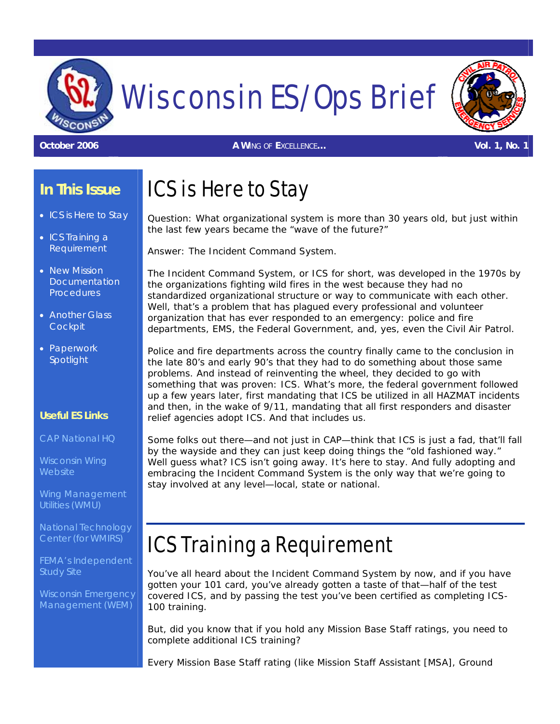

# Wisconsin ES/Ops Brief

**October 2006** *A WING OF EXCELLENCE…* **Vol. 1, No. 1**

### **In This Issue**

- ICS is Here to Stay
- ICS Training a Requirement
- New Mission **Documentation Procedures**
- Another Glass **Cockpit**
- Paperwork Spotlight

#### **Useful ES Links**

[CAP National HQ](http://www.capnhq.gov/)

[Wisconsin Wing](http://www.wiwgcap.org/)  **[Website](http://www.wiwgcap.org/)** 

[Wing Management](http://wmu.nat.cap.gov/) [Utilities \(WMU\)](http://wmu.nat.cap.gov/)

[National Technology](https://ntc.cap.af.mil/login.htm)  [Center \(for WMIRS\)](https://ntc.cap.af.mil/login.htm)

[FEMA's Independent](http://emergencymanagement.wi.gov/)  [Study Site](http://emergencymanagement.wi.gov/)

[Wisconsin Emergency](http://emergencymanagement.wi.gov/)  [Management \(WEM\)](http://emergencymanagement.wi.gov/)

### ICS is Here to Stay

Question: What organizational system is more than 30 years old, but just within the last few years became the "wave of the future?"

Answer: The Incident Command System.

The Incident Command System, or ICS for short, was developed in the 1970s by the organizations fighting wild fires in the west because they had no standardized organizational structure or way to communicate with each other. Well, that's a problem that has plagued *every* professional and volunteer organization that has ever responded to an emergency: police and fire departments, EMS, the Federal Government, and, yes, even the Civil Air Patrol.

Police and fire departments across the country finally came to the conclusion in the late 80's and early 90's that they had to do *something* about those same problems. And instead of reinventing the wheel, they decided to go with something that was proven: ICS. What's more, the federal government followed up a few years later, first mandating that ICS be utilized in all HAZMAT incidents and then, in the wake of 9/11, mandating that *all* first responders and disaster relief agencies adopt ICS. And that includes us.

Some folks out there—and not just in CAP—think that ICS is just a fad, that'll fall by the wayside and they can just keep doing things the "old fashioned way." Well guess what? ICS isn't going away. It's here to stay. And fully adopting and embracing the Incident Command System is the *only* way that we're going to stay involved at *any* level—local, state or national.

## ICS Training a Requirement

You've all heard about the Incident Command System by now, and if you have gotten your 101 card, you've already gotten a taste of that—half of the test covered ICS, and by passing the test you've been certified as completing ICS-100 training.

But, did you know that if you hold any Mission Base Staff ratings, you need to complete additional ICS training?

Every Mission Base Staff rating (like Mission Staff Assistant [MSA], Ground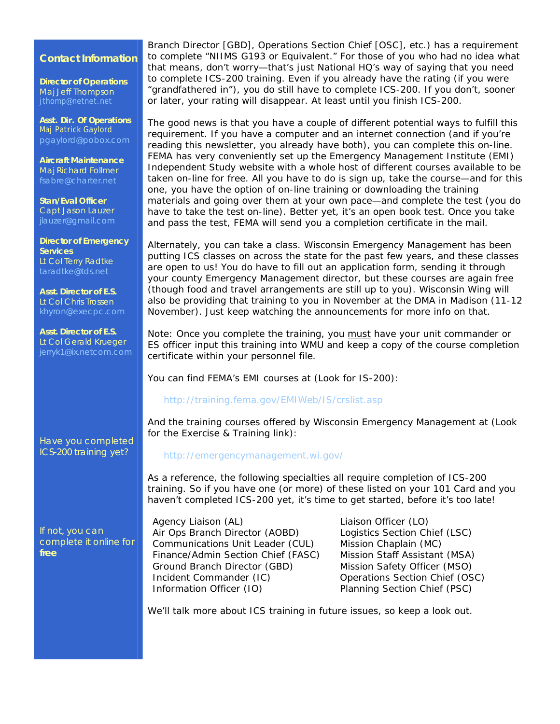#### **Contact Information**

**Director of Operations**  Maj Jeff Thompson [jthomp@netnet.net](mailto:jthomp@netnet.net)

**Asst. Dir. Of Operations**  Maj Patrick Gaylord [pgaylord@pobox.com](mailto:pgaylord@pobox.com)

**Aircraft Maintenance** Maj Richard Follmer [fsabre@charter.net](mailto:fsabre@charter.net)

**Stan/Eval Officer** Capt Jason Lauzer [jlauzer@gmail.com](mailto:jlauzer@gmail.com)

**Director of Emergency Services** Lt Col Terry Radtke [taradtke@tds.net](mailto:taradtke@tds.net)

**Asst. Director of E.S.** Lt Col Chris Trossen

**Asst. Director of E.S.** Lt Col Gerald Krueger

*Have you completed ICS-200 training yet?* 

*If not, you can complete it online for free*

Branch Director [GBD], Operations Section Chief [OSC], etc.) has a requirement to complete "NIIMS G193 or Equivalent." For those of you who had no idea what that means, don't worry—that's just National HQ's way of saying that you need to complete ICS-200 training. Even if you already have the rating (if you were "grandfathered in"), you do still have to complete ICS-200. If you don't, sooner or later, your rating will disappear. At least until you finish ICS-200.

The good news is that you have a couple of different potential ways to fulfill this requirement. If you have a computer and an internet connection (and if you're reading this newsletter, you already have both), you can complete this on-line. FEMA has very conveniently set up the Emergency Management Institute (EMI) Independent Study website with a whole host of different courses available to be taken on-line *for free*. All you have to do is sign up, take the course—and for this one, you have the option of on-line training or downloading the training materials and going over them at your own pace—and complete the test (you do have to take the test on-line). Better yet, it's an *open book test*. Once you take and pass the test, FEMA will send you a completion certificate in the mail.

Alternately, you can take a class. Wisconsin Emergency Management has been putting ICS classes on across the state for the past few years, and these classes are open to us! You do have to fill out an application form, sending it through your county Emergency Management director, but these courses are again *free* (though food and travel arrangements are still up to you). Wisconsin Wing will also be providing that training to you in November at the DMA in Madison (11-12 November). Just keep watching the announcements for more info on that.

*Note: Once you complete the training, you* must *have your unit commander or ES officer input this training into WMU* and *keep a copy of the course completion certificate within your personnel file.* 

You can find FEMA's EMI courses at (Look for IS-200):

#### <http://training.fema.gov/EMIWeb/IS/crslist.asp>

And the training courses offered by Wisconsin Emergency Management at (Look for the Exercise & Training link):

#### <http://emergencymanagement.wi.gov/>

As a reference, the following specialties all require completion of ICS-200 training. So if you have one (or more) of these listed on your 101 Card and you *haven't* completed ICS-200 yet, it's time to get started, before it's too late!

Agency Liaison (AL) Air Ops Branch Director (AOBD) Communications Unit Leader (CUL) Finance/Admin Section Chief (FASC) Ground Branch Director (GBD) Incident Commander (IC) Information Officer (IO)

Liaison Officer (LO) Logistics Section Chief (LSC) Mission Chaplain (MC) Mission Staff Assistant (MSA) Mission Safety Officer (MSO) Operations Section Chief (OSC) Planning Section Chief (PSC)

We'll talk more about ICS training in future issues, so keep a look out.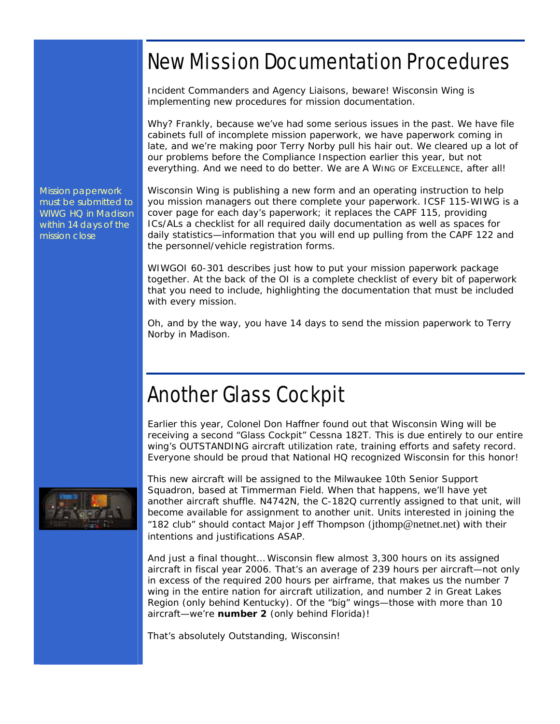### New Mission Documentation Procedures

Incident Commanders and Agency Liaisons, beware! Wisconsin Wing is implementing new procedures for mission documentation.

Why? Frankly, because we've had some serious issues in the past. We have file cabinets full of incomplete mission paperwork, we have paperwork coming in late, and we're making poor Terry Norby pull his hair out. We cleared up a lot of our problems before the Compliance Inspection earlier this year, but not everything. And we need to do better. We are *A WING OF EXCELLENCE*, after all!

Mission paperwork must be submitted to WIWG HQ in Madison within 14 days of the mission close

Wisconsin Wing is publishing a new form and an operating instruction to help you mission managers out there complete your paperwork. ICSF 115-WIWG is a cover page for each day's paperwork; it replaces the CAPF 115, providing ICs/ALs a checklist for all required daily documentation as well as spaces for daily statistics—information that you will end up pulling from the CAPF 122 and the personnel/vehicle registration forms.

WIWGOI 60-301 describes just how to put your mission paperwork package together. At the back of the OI is a complete checklist of every bit of paperwork that you need to include, highlighting the documentation that *must* be included with *every* mission.

Oh, and by the way, you have 14 days to send the mission paperwork to Terry Norby in Madison.

### Another Glass Cockpit

Earlier this year, Colonel Don Haffner found out that Wisconsin Wing will be receiving a second "Glass Cockpit" Cessna 182T. This is due entirely to our entire wing's *OUTSTANDING* aircraft utilization rate, training efforts and safety record. Everyone should be proud that National HQ recognized Wisconsin for this honor!



This new aircraft will be assigned to the Milwaukee 10th Senior Support Squadron, based at Timmerman Field. When that happens, we'll have yet another aircraft shuffle. N4742N, the C-182Q currently assigned to that unit, will become available for assignment to another unit. Units interested in joining the "182 club" should contact Major Jeff Thompson (jthomp@netnet.net) with their intentions and justifications ASAP.

And just a final thought… Wisconsin flew almost 3,300 hours on its assigned aircraft in fiscal year 2006. That's an average of 239 hours per aircraft—not only in excess of the required 200 hours per airframe, that makes us the number 7 wing in the entire nation for aircraft utilization, and number 2 in Great Lakes Region (only behind Kentucky). Of the "big" wings—those with more than 10 aircraft—we're *number 2* (only behind Florida)!

That's absolutely *Outstanding*, Wisconsin!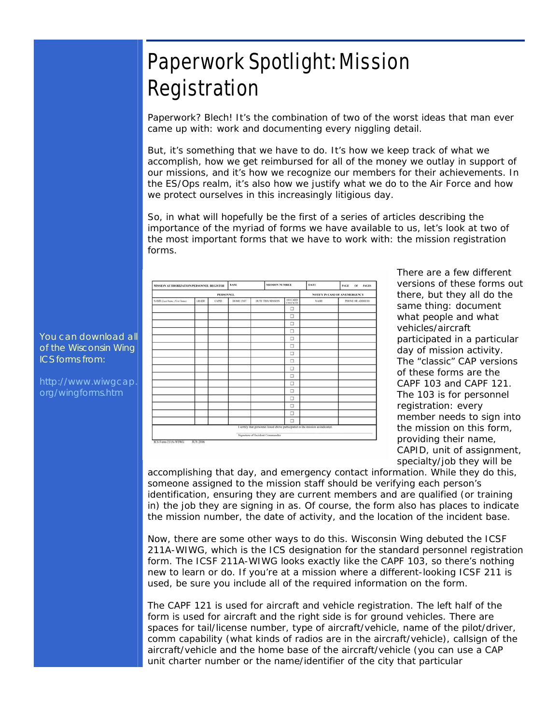### Paperwork Spotlight: Mission Registration

Paperwork? Blech! It's the combination of two of the worst ideas that man ever came up with: work and documenting every niggling detail.

But, it's something that we have to do. It's how we keep track of what we accomplish, how we get reimbursed for all of the money we outlay in support of our missions, and it's how we recognize our members for their achievements. In the ES/Ops realm, it's also how we justify what we do to the Air Force and how we protect ourselves in this increasingly litigious day.

So, in what will hopefully be the first of a series of articles describing the importance of the myriad of forms we have available to us, let's look at two of *the* most important forms that we have to work with: the mission registration forms.

| MISSION AUTHORIZATION/PERSONNEL REGISTER |                |  | <b>BASE</b> |                                 | MISSION NUMBER      | <b>DATE</b>                                                                     | PAGE.<br>OF PAGES |
|------------------------------------------|----------------|--|-------------|---------------------------------|---------------------|---------------------------------------------------------------------------------|-------------------|
| <b>PERSONNEL</b>                         |                |  |             |                                 |                     | <b>NOTIFY IN CASE OF AN EMERGENCY</b>                                           |                   |
| <b>WAME (Last Name, First Name)</b>      | GRADE<br>CAPID |  | HOME UNIT   | DUTY THIS MISSION               | 101 CARD<br>сигскто | NAME                                                                            | PHONE OR ADDRESS  |
|                                          |                |  |             |                                 | □                   |                                                                                 |                   |
|                                          |                |  |             |                                 | O                   |                                                                                 |                   |
|                                          |                |  |             |                                 | □                   |                                                                                 |                   |
|                                          |                |  |             |                                 | o                   |                                                                                 |                   |
|                                          |                |  |             |                                 | o                   |                                                                                 |                   |
|                                          |                |  |             |                                 | о                   |                                                                                 |                   |
|                                          |                |  |             |                                 | □                   |                                                                                 |                   |
|                                          |                |  |             |                                 | ō                   |                                                                                 |                   |
|                                          |                |  |             |                                 | □                   |                                                                                 |                   |
|                                          |                |  |             |                                 | □                   |                                                                                 |                   |
|                                          |                |  |             |                                 | □                   |                                                                                 |                   |
|                                          |                |  |             |                                 | □                   |                                                                                 |                   |
|                                          |                |  |             |                                 | □                   |                                                                                 |                   |
|                                          |                |  |             |                                 | □                   |                                                                                 |                   |
|                                          |                |  |             |                                 | Ö                   |                                                                                 |                   |
|                                          |                |  |             |                                 | □                   |                                                                                 |                   |
|                                          |                |  |             |                                 |                     | I certify that personnel listed above participated in the mission as indicated. |                   |
| JCS Form 211A-WIWG                       | JUN 2006       |  |             | Signature of Incident Commander |                     |                                                                                 |                   |

There are a few different versions of these forms o ut there, but they all do the same thing: document what people and what vehicles/aircraft participated in a particular day of mission activity. The "classic" CAP versions of these forms are the CAPF 103 and CAPF 121. The 103 is for personnel registration: every member needs to sign into the mission on this form, providing their name, CAPID, unit of assignment, specialty/job they will be

accomplishing that day, and emergency contact information. While they do this, someone assigned to the mission staff should be verifying each person's identification, ensuring they are current members and are qualified (or training in) the job they are signing in as. Of course, the form also has places to indicate the mission number, the date of activity, and the location of the incident base.

Now, there are some other ways to do this. Wisconsin Wing debuted the ICSF 211A-WIWG, which is the ICS designation for the standard personnel registration form. The ICSF 211A-WIWG looks *exactly* like the CAPF 103, so there's nothing new to learn or do. If you're at a mission where a different-looking ICSF 211 is used, be sure you include all of the required information on the form.

The CAPF 121 is used for aircraft and vehicle registration. The left half of the form is used for aircraft and the right side is for ground vehicles. There are spaces for tail/license number, type of aircraft/vehicle, name of the pilot/driver, comm capability (what kinds of radios are in the aircraft/vehicle), callsign of the aircraft/vehicle and the home base of the aircraft/vehicle (you can use a CAP unit charter number or the name/identifier of the city that particular

You can download all of the Wisconsin Wing ICS forms from:

[http://www.wiwgcap.](http://www.wiwgcap.org/wingforms.htm) [org/wingforms.htm](http://www.wiwgcap.org/wingforms.htm)